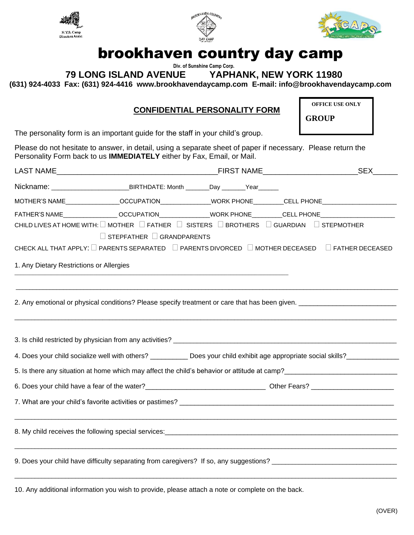





## brookhaven country day camp

 **Div. of Sunshine Camp Corp.**

**79 LONG ISLAND AVENUE YAPHANK, NEW YORK 11980**

**(631) 924-4033 Fax: (631) 924-4416 www.brookhavendaycamp.com E-mail: info@brookhavendaycamp.com**

## **CONFIDENTIAL PERSONALITY FORM**

**OFFICE USE ONLY**

**GROUP**

The personality form is an important guide for the staff in your child's group.

Please do not hesitate to answer, in detail, using a separate sheet of paper if necessary. Please return the Personality Form back to us **IMMEDIATELY** either by Fax, Email, or Mail.

|                                                                                                                                                                                                                                                                                       |                                                                                                                |  |  |  | <b>SEX</b> |
|---------------------------------------------------------------------------------------------------------------------------------------------------------------------------------------------------------------------------------------------------------------------------------------|----------------------------------------------------------------------------------------------------------------|--|--|--|------------|
|                                                                                                                                                                                                                                                                                       |                                                                                                                |  |  |  |            |
|                                                                                                                                                                                                                                                                                       | MOTHER'S NAME________________OCCUPATION______________WORK PHONE_________CELL PHONE__________________           |  |  |  |            |
|                                                                                                                                                                                                                                                                                       | FATHER'S NAME ________________OCCUPATION_______________WORK PHONE_________CELL PHONE__________________________ |  |  |  |            |
| CHILD LIVES AT HOME WITH: $\square$ MOTHER $\square$ FATHER $\square$ SISTERS $\square$ BROTHERS $\square$ GUARDIAN $\square$ STEPMOTHER<br>$\Box$ STEPFATHER $\Box$ GRANDPARENTS<br>CHECK ALL THAT APPLY: □ PARENTS SEPARATED □ PARENTS DIVORCED □ MOTHER DECEASED □ FATHER DECEASED |                                                                                                                |  |  |  |            |
|                                                                                                                                                                                                                                                                                       |                                                                                                                |  |  |  |            |
| 1. Any Dietary Restrictions or Allergies                                                                                                                                                                                                                                              |                                                                                                                |  |  |  |            |
|                                                                                                                                                                                                                                                                                       |                                                                                                                |  |  |  |            |
| ,我们也不会有什么。""我们的人,我们也不会有什么?""我们的人,我们也不会有什么?""我们的人,我们也不会有什么?""我们的人,我们也不会有什么?""我们的人                                                                                                                                                                                                      |                                                                                                                |  |  |  |            |
|                                                                                                                                                                                                                                                                                       |                                                                                                                |  |  |  |            |
| 4. Does your child socialize well with others? ___________ Does your child exhibit age appropriate social skills?_____________________                                                                                                                                                |                                                                                                                |  |  |  |            |
| 5. Is there any situation at home which may affect the child's behavior or attitude at camp?<br>Subsequence any situation at home which may affect the child's behavior or attitude at camp?                                                                                          |                                                                                                                |  |  |  |            |
|                                                                                                                                                                                                                                                                                       |                                                                                                                |  |  |  |            |
|                                                                                                                                                                                                                                                                                       |                                                                                                                |  |  |  |            |
|                                                                                                                                                                                                                                                                                       |                                                                                                                |  |  |  |            |
|                                                                                                                                                                                                                                                                                       |                                                                                                                |  |  |  |            |

10. Any additional information you wish to provide, please attach a note or complete on the back.